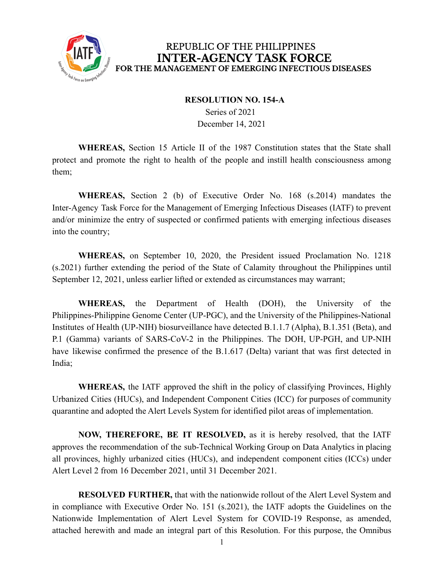

## REPUBLIC OF THE PHILIPPINES **INTER-AGENCY TASK FORCE** FOR THE MANAGEMENT OF EMERGING INFECTIOUS DISEASES

## **RESOLUTION NO. 154-A**

Series of 2021 December 14, 2021

**WHEREAS,** Section 15 Article II of the 1987 Constitution states that the State shall protect and promote the right to health of the people and instill health consciousness among them;

**WHEREAS,** Section 2 (b) of Executive Order No. 168 (s.2014) mandates the Inter-Agency Task Force for the Management of Emerging Infectious Diseases (IATF) to prevent and/or minimize the entry of suspected or confirmed patients with emerging infectious diseases into the country;

**WHEREAS,** on September 10, 2020, the President issued Proclamation No. 1218 (s.2021) further extending the period of the State of Calamity throughout the Philippines until September 12, 2021, unless earlier lifted or extended as circumstances may warrant;

**WHEREAS,** the Department of Health (DOH), the University of the Philippines-Philippine Genome Center (UP-PGC), and the University of the Philippines-National Institutes of Health (UP-NIH) biosurveillance have detected B.1.1.7 (Alpha), B.1.351 (Beta), and P.1 (Gamma) variants of SARS-CoV-2 in the Philippines. The DOH, UP-PGH, and UP-NIH have likewise confirmed the presence of the B.1.617 (Delta) variant that was first detected in India;

**WHEREAS,** the IATF approved the shift in the policy of classifying Provinces, Highly Urbanized Cities (HUCs), and Independent Component Cities (ICC) for purposes of community quarantine and adopted the Alert Levels System for identified pilot areas of implementation.

**NOW, THEREFORE, BE IT RESOLVED,** as it is hereby resolved, that the IATF approves the recommendation of the sub-Technical Working Group on Data Analytics in placing all provinces, highly urbanized cities (HUCs), and independent component cities (ICCs) under Alert Level 2 from 16 December 2021, until 31 December 2021.

**RESOLVED FURTHER,** that with the nationwide rollout of the Alert Level System and in compliance with Executive Order No. 151 (s.2021), the IATF adopts the Guidelines on the Nationwide Implementation of Alert Level System for COVID-19 Response, as amended, attached herewith and made an integral part of this Resolution. For this purpose, the Omnibus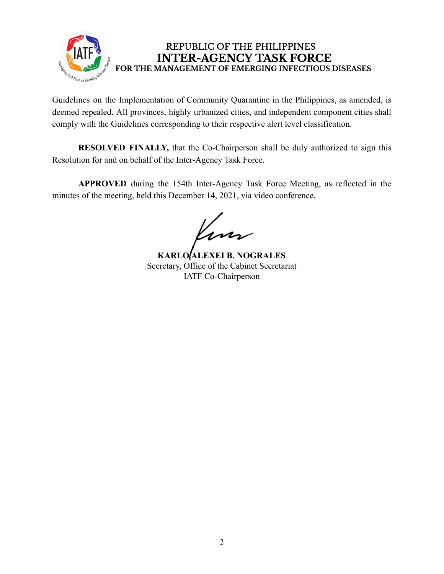

## REPUBLIC OF THE PHILIPPINES **INTER-AGENCY TASK FORCE** FOR THE MANAGEMENT OF EMERGING INFECTIOUS DISEASES

Guidelines on the Implementation of Community Quarantine in the Philippines, as amended, is deemed repealed. All provinces, highly urbanized cities, and independent component cities shall comply with the Guidelines corresponding to their respective alert level classification.

**RESOLVED FINALLY,** that the Co-Chairperson shall be duly authorized to sign this Resolution for and on behalf of the Inter-Agency Task Force.

**APPROVED** during the 154th Inter-Agency Task Force Meeting, as reflected in the minutes of the meeting, held this December 14, 2021, via video conference**.**

Kun

**KARLO ALEXEI B. NOGRALES** Secretary, Office of the Cabinet Secretariat IATF Co-Chairperson